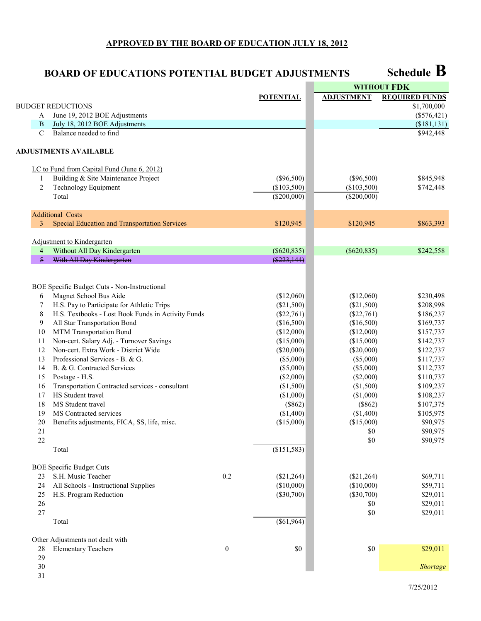## **APPROVED BY THE BOARD OF EDUCATION JULY 18, 2012**

## **Schedule B BOARD OF EDUCATIONS POTENTIAL BUDGET ADJUSTMENTS**

|                |                                                      |                  |                  | <b>WITHOUT FDK</b> |                       |
|----------------|------------------------------------------------------|------------------|------------------|--------------------|-----------------------|
|                |                                                      |                  | <b>POTENTIAL</b> | <b>ADJUSTMENT</b>  | <b>REQUIRED FUNDS</b> |
|                | <b>BUDGET REDUCTIONS</b>                             |                  |                  |                    | \$1,700,000           |
| A              | June 19, 2012 BOE Adjustments                        |                  |                  |                    | $(\$576,421)$         |
| B              | July 18, 2012 BOE Adjustments                        |                  |                  |                    | (\$181, 131)          |
| $\mathbf C$    | Balance needed to find                               |                  |                  |                    | \$942,448             |
|                | <b>ADJUSTMENTS AVAILABLE</b>                         |                  |                  |                    |                       |
|                | LC to Fund from Capital Fund (June 6, 2012)          |                  |                  |                    |                       |
| 1              | Building & Site Maintenance Project                  |                  | $(\$96,500)$     | $(\$96,500)$       | \$845,948             |
| $\overline{2}$ | Technology Equipment                                 |                  | (\$103,500)      | (\$103,500)        | \$742,448             |
|                | Total                                                |                  | $(\$200,000)$    | $(\$200,000)$      |                       |
|                | <b>Additional Costs</b>                              |                  |                  |                    |                       |
| 3              | <b>Special Education and Transportation Services</b> |                  | \$120,945        | \$120,945          | \$863,393             |
|                | Adjustment to Kindergarten                           |                  |                  |                    |                       |
| $\overline{4}$ | Without All Day Kindergarten                         |                  | $(\$620,835)$    | $(\$620,835)$      | \$242,558             |
| 5              | With All Day Kindergarten                            |                  | $(\$223,144)$    |                    |                       |
|                |                                                      |                  |                  |                    |                       |
|                | <b>BOE Specific Budget Cuts - Non-Instructional</b>  |                  |                  |                    |                       |
| 6              | Magnet School Bus Aide                               |                  | (\$12,060)       | (\$12,060)         | \$230,498             |
| 7              | H.S. Pay to Participate for Athletic Trips           |                  | $(\$21,500)$     | $(\$21,500)$       | \$208,998             |
| 8              | H.S. Textbooks - Lost Book Funds in Activity Funds   |                  | $(\$22,761)$     | $(\$22,761)$       | \$186,237             |
| 9              | All Star Transportation Bond                         |                  | (\$16,500)       | (\$16,500)         | \$169,737             |
| 10             | MTM Transportation Bond                              |                  | (\$12,000)       | (\$12,000)         | \$157,737             |
| 11             | Non-cert. Salary Adj. - Turnover Savings             |                  | (\$15,000)       | (\$15,000)         | \$142,737             |
| 12             | Non-cert. Extra Work - District Wide                 |                  | $(\$20,000)$     | $(\$20,000)$       | \$122,737             |
| 13             | Professional Services - B. & G.                      |                  | $(\$5,000)$      | (\$5,000)          | \$117,737             |
| 14             | B. & G. Contracted Services                          |                  | $(\$5,000)$      | (\$5,000)          | \$112,737             |
| 15             | Postage - H.S.                                       |                  | $(\$2,000)$      | (\$2,000)          | \$110,737             |
| 16             | Transportation Contracted services - consultant      |                  | (\$1,500)        | (\$1,500)          | \$109,237             |
| 17             | HS Student travel                                    |                  | (\$1,000)        | (\$1,000)          | \$108,237             |
| 18             | MS Student travel                                    |                  | (\$862)          | (\$862)            | \$107,375             |
| 19             | MS Contracted services                               |                  | (\$1,400)        | (\$1,400)          | \$105,975             |
| 20             | Benefits adjustments, FICA, SS, life, misc.          |                  | (\$15,000)       | (\$15,000)         | \$90,975              |
| 21             |                                                      |                  |                  | \$0                | \$90,975              |
| 22             |                                                      |                  |                  | \$0                | \$90,975              |
|                | Total                                                |                  | (\$151,583)      |                    |                       |
|                | <b>BOE Specific Budget Cuts</b>                      |                  |                  |                    |                       |
| 23             | S.H. Music Teacher                                   | 0.2              | $(\$21,264)$     | $(\$21,264)$       | \$69,711              |
| 24             | All Schools - Instructional Supplies                 |                  | (\$10,000)       | (\$10,000)         | \$59,711              |
| 25             | H.S. Program Reduction                               |                  | $(\$30,700)$     | $(\$30,700)$       | \$29,011              |
| 26             |                                                      |                  |                  | $\$0$              | \$29,011              |
| 27             |                                                      |                  |                  | \$0                | \$29,011              |
|                | Total                                                |                  | $(\$61,964)$     |                    |                       |
|                | Other Adjustments not dealt with                     |                  |                  |                    |                       |
| 28             | <b>Elementary Teachers</b>                           | $\boldsymbol{0}$ | \$0              | \$0                | \$29,011              |
| 29             |                                                      |                  |                  |                    |                       |
| 30<br>31       |                                                      |                  |                  |                    | Shortage              |